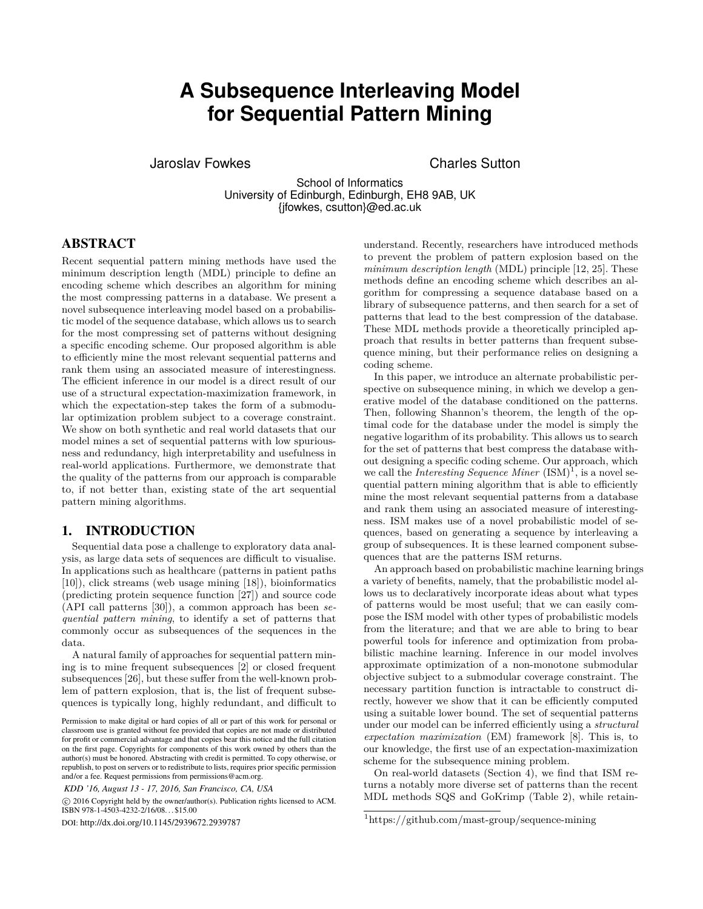# **A Subsequence Interleaving Model for Sequential Pattern Mining**

Jaroslav Fowkes Charles Sutton

School of Informatics University of Edinburgh, Edinburgh, EH8 9AB, UK {jfowkes, csutton}@ed.ac.uk

# ABSTRACT

Recent sequential pattern mining methods have used the minimum description length (MDL) principle to define an encoding scheme which describes an algorithm for mining the most compressing patterns in a database. We present a novel subsequence interleaving model based on a probabilistic model of the sequence database, which allows us to search for the most compressing set of patterns without designing a specific encoding scheme. Our proposed algorithm is able to efficiently mine the most relevant sequential patterns and rank them using an associated measure of interestingness. The efficient inference in our model is a direct result of our use of a structural expectation-maximization framework, in which the expectation-step takes the form of a submodular optimization problem subject to a coverage constraint. We show on both synthetic and real world datasets that our model mines a set of sequential patterns with low spuriousness and redundancy, high interpretability and usefulness in real-world applications. Furthermore, we demonstrate that the quality of the patterns from our approach is comparable to, if not better than, existing state of the art sequential pattern mining algorithms.

# 1. INTRODUCTION

Sequential data pose a challenge to exploratory data analysis, as large data sets of sequences are difficult to visualise. In applications such as healthcare (patterns in patient paths [\[10\]](#page-9-0)), click streams (web usage mining [\[18\]](#page-9-1)), bioinformatics (predicting protein sequence function [\[27\]](#page-9-2)) and source code (API call patterns [\[30\]](#page-9-3)), a common approach has been *sequential pattern mining*, to identify a set of patterns that commonly occur as subsequences of the sequences in the data.

A natural family of approaches for sequential pattern mining is to mine frequent subsequences [\[2\]](#page-9-4) or closed frequent subsequences [\[26\]](#page-9-5), but these suffer from the well-known problem of pattern explosion, that is, the list of frequent subsequences is typically long, highly redundant, and difficult to

 c 2016 Copyright held by the owner/author(s). Publication rights licensed to ACM. ISBN 978-1-4503-4232-2/16/08. . . \$15.00

DOI: <http://dx.doi.org/10.1145/2939672.2939787>

understand. Recently, researchers have introduced methods to prevent the problem of pattern explosion based on the *minimum description length* (MDL) principle [\[12,](#page-9-6) [25\]](#page-9-7). These methods define an encoding scheme which describes an algorithm for compressing a sequence database based on a library of subsequence patterns, and then search for a set of patterns that lead to the best compression of the database. These MDL methods provide a theoretically principled approach that results in better patterns than frequent subsequence mining, but their performance relies on designing a coding scheme.

In this paper, we introduce an alternate probabilistic perspective on subsequence mining, in which we develop a generative model of the database conditioned on the patterns. Then, following Shannon's theorem, the length of the optimal code for the database under the model is simply the negative logarithm of its probability. This allows us to search for the set of patterns that best compress the database without designing a specific coding scheme. Our approach, which we call the *Interesting Sequence Miner*  $(ISM)^{1}$  $(ISM)^{1}$  $(ISM)^{1}$ , is a novel sequential pattern mining algorithm that is able to efficiently mine the most relevant sequential patterns from a database and rank them using an associated measure of interestingness. ISM makes use of a novel probabilistic model of sequences, based on generating a sequence by interleaving a group of subsequences. It is these learned component subsequences that are the patterns ISM returns.

An approach based on probabilistic machine learning brings a variety of benefits, namely, that the probabilistic model allows us to declaratively incorporate ideas about what types of patterns would be most useful; that we can easily compose the ISM model with other types of probabilistic models from the literature; and that we are able to bring to bear powerful tools for inference and optimization from probabilistic machine learning. Inference in our model involves approximate optimization of a non-monotone submodular objective subject to a submodular coverage constraint. The necessary partition function is intractable to construct directly, however we show that it can be efficiently computed using a suitable lower bound. The set of sequential patterns under our model can be inferred efficiently using a *structural expectation maximization* (EM) framework [\[8\]](#page-9-8). This is, to our knowledge, the first use of an expectation-maximization scheme for the subsequence mining problem.

On real-world datasets [\(Section 4\)](#page-5-0), we find that ISM returns a notably more diverse set of patterns than the recent MDL methods SQS and GoKrimp [\(Table 2\)](#page-7-0), while retain-

Permission to make digital or hard copies of all or part of this work for personal or classroom use is granted without fee provided that copies are not made or distributed for profit or commercial advantage and that copies bear this notice and the full citation on the first page. Copyrights for components of this work owned by others than the author(s) must be honored. Abstracting with credit is permitted. To copy otherwise, or republish, to post on servers or to redistribute to lists, requires prior specific permission and/or a fee. Request permissions from permissions@acm.org.

*KDD '16, August 13 - 17, 2016, San Francisco, CA, USA*

<span id="page-0-0"></span><sup>1</sup>https://github.com/mast-group/sequence-mining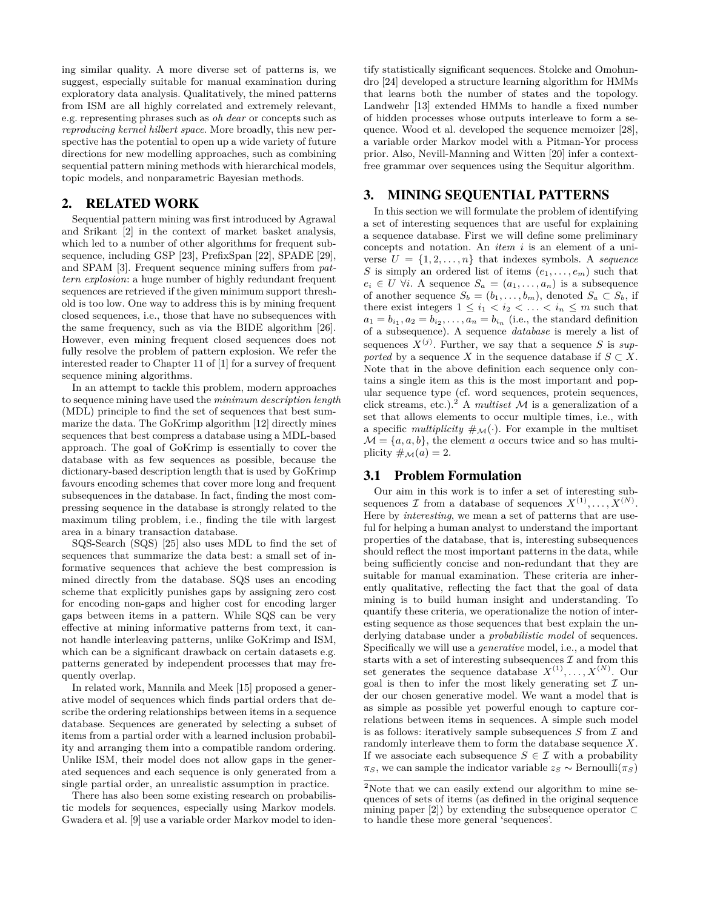ing similar quality. A more diverse set of patterns is, we suggest, especially suitable for manual examination during exploratory data analysis. Qualitatively, the mined patterns from ISM are all highly correlated and extremely relevant, e.g. representing phrases such as *oh dear* or concepts such as *reproducing kernel hilbert space*. More broadly, this new perspective has the potential to open up a wide variety of future directions for new modelling approaches, such as combining sequential pattern mining methods with hierarchical models, topic models, and nonparametric Bayesian methods.

# 2. RELATED WORK

Sequential pattern mining was first introduced by Agrawal and Srikant [\[2\]](#page-9-4) in the context of market basket analysis, which led to a number of other algorithms for frequent subsequence, including GSP [\[23\]](#page-9-9), PrefixSpan [\[22\]](#page-9-10), SPADE [\[29\]](#page-9-11), and SPAM [\[3\]](#page-9-12). Frequent sequence mining suffers from *pattern explosion*: a huge number of highly redundant frequent sequences are retrieved if the given minimum support threshold is too low. One way to address this is by mining frequent closed sequences, i.e., those that have no subsequences with the same frequency, such as via the BIDE algorithm [\[26\]](#page-9-5). However, even mining frequent closed sequences does not fully resolve the problem of pattern explosion. We refer the interested reader to Chapter 11 of [\[1\]](#page-9-13) for a survey of frequent sequence mining algorithms.

In an attempt to tackle this problem, modern approaches to sequence mining have used the *minimum description length* (MDL) principle to find the set of sequences that best summarize the data. The GoKrimp algorithm [\[12\]](#page-9-6) directly mines sequences that best compress a database using a MDL-based approach. The goal of GoKrimp is essentially to cover the database with as few sequences as possible, because the dictionary-based description length that is used by GoKrimp favours encoding schemes that cover more long and frequent subsequences in the database. In fact, finding the most compressing sequence in the database is strongly related to the maximum tiling problem, i.e., finding the tile with largest area in a binary transaction database.

SQS-Search (SQS) [\[25\]](#page-9-7) also uses MDL to find the set of sequences that summarize the data best: a small set of informative sequences that achieve the best compression is mined directly from the database. SQS uses an encoding scheme that explicitly punishes gaps by assigning zero cost for encoding non-gaps and higher cost for encoding larger gaps between items in a pattern. While SQS can be very effective at mining informative patterns from text, it cannot handle interleaving patterns, unlike GoKrimp and ISM, which can be a significant drawback on certain datasets e.g. patterns generated by independent processes that may frequently overlap.

In related work, Mannila and Meek [\[15\]](#page-9-14) proposed a generative model of sequences which finds partial orders that describe the ordering relationships between items in a sequence database. Sequences are generated by selecting a subset of items from a partial order with a learned inclusion probability and arranging them into a compatible random ordering. Unlike ISM, their model does not allow gaps in the generated sequences and each sequence is only generated from a single partial order, an unrealistic assumption in practice.

There has also been some existing research on probabilistic models for sequences, especially using Markov models. Gwadera et al. [\[9\]](#page-9-15) use a variable order Markov model to identify statistically significant sequences. Stolcke and Omohundro [\[24\]](#page-9-16) developed a structure learning algorithm for HMMs that learns both the number of states and the topology. Landwehr [\[13\]](#page-9-17) extended HMMs to handle a fixed number of hidden processes whose outputs interleave to form a sequence. Wood et al. developed the sequence memoizer [\[28\]](#page-9-18), a variable order Markov model with a Pitman-Yor process prior. Also, Nevill-Manning and Witten [\[20\]](#page-9-19) infer a contextfree grammar over sequences using the Sequitur algorithm.

# 3. MINING SEQUENTIAL PATTERNS

In this section we will formulate the problem of identifying a set of interesting sequences that are useful for explaining a sequence database. First we will define some preliminary concepts and notation. An *item i* is an element of a universe  $U = \{1, 2, \ldots, n\}$  that indexes symbols. A *sequence S* is simply an ordered list of items  $(e_1, \ldots, e_m)$  such that  $e_i \in U$   $\forall i$ . A sequence  $S_a = (a_1, \ldots, a_n)$  is a subsequence of another sequence  $S_b = (b_1, \ldots, b_m)$ , denoted  $S_a \subset S_b$ , if there exist integers  $1 \leq i_1 < i_2 < \ldots < i_n \leq m$  such that  $a_1 = b_{i_1}, a_2 = b_{i_2}, \dots, a_n = b_{i_n}$  (i.e., the standard definition of a subsequence). A sequence *database* is merely a list of sequences  $X^{(j)}$ . Further, we say that a sequence *S* is *supported* by a sequence *X* in the sequence database if  $S \subset X$ . Note that in the above definition each sequence only contains a single item as this is the most important and popular sequence type (cf. word sequences, protein sequences, click streams, etc.).<sup>[2](#page-1-0)</sup> A *multiset*  $\mathcal M$  is a generalization of a set that allows elements to occur multiple times, i.e., with a specific *multiplicity*  $\#_{\mathcal{M}}(\cdot)$ . For example in the multiset  $\mathcal{M} = \{a, a, b\}$ , the element *a* occurs twice and so has multiplicity  $\#_{\mathcal{M}}(a) = 2$ .

## 3.1 Problem Formulation

Our aim in this work is to infer a set of interesting subsequences  $\mathcal{I}$  from a database of sequences  $X^{(1)}, \ldots, X^{(N)}$ . Here by *interesting*, we mean a set of patterns that are useful for helping a human analyst to understand the important properties of the database, that is, interesting subsequences should reflect the most important patterns in the data, while being sufficiently concise and non-redundant that they are suitable for manual examination. These criteria are inherently qualitative, reflecting the fact that the goal of data mining is to build human insight and understanding. To quantify these criteria, we operationalize the notion of interesting sequence as those sequences that best explain the underlying database under a *probabilistic model* of sequences. Specifically we will use a *generative* model, i.e., a model that starts with a set of interesting subsequences  $\mathcal I$  and from this set generates the sequence database  $X^{(1)}, \ldots, X^{(N)}$ . Our goal is then to infer the most likely generating set  $\mathcal I$  under our chosen generative model. We want a model that is as simple as possible yet powerful enough to capture correlations between items in sequences. A simple such model is as follows: iteratively sample subsequences  $S$  from  $\mathcal I$  and randomly interleave them to form the database sequence *X*. If we associate each subsequence  $S \in \mathcal{I}$  with a probability  $\pi_S$ , we can sample the indicator variable  $z_S \sim \text{Bernoulli}(\pi_S)$ 

<span id="page-1-0"></span> $2$ Note that we can easily extend our algorithm to mine sequences of sets of items (as defined in the original sequence mining paper [\[2\]](#page-9-4)) by extending the subsequence operator  $\subset$ to handle these more general 'sequences'.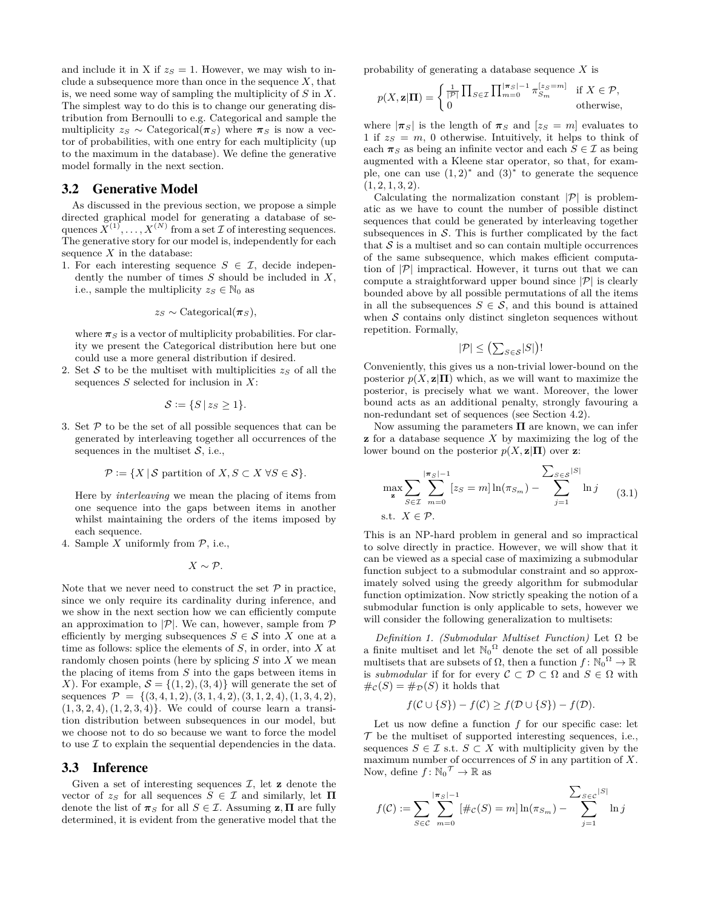and include it in X if  $z<sub>S</sub> = 1$ . However, we may wish to include a subsequence more than once in the sequence *X*, that is, we need some way of sampling the multiplicity of *S* in *X*. The simplest way to do this is to change our generating distribution from Bernoulli to e.g. Categorical and sample the multiplicity  $z_S \sim$  Categorical( $\pi_S$ ) where  $\pi_S$  is now a vector of probabilities, with one entry for each multiplicity (up to the maximum in the database). We define the generative model formally in the next section.

## <span id="page-2-2"></span>3.2 Generative Model

As discussed in the previous section, we propose a simple directed graphical model for generating a database of sequences  $X^{(1)}, \ldots, X^{(N)}$  from a set  $\mathcal I$  of interesting sequences. The generative story for our model is, independently for each sequence  $X$  in the database:

1. For each interesting sequence  $S \in \mathcal{I}$ , decide independently the number of times *S* should be included in *X*, i.e., sample the multiplicity  $z_S \in \mathbb{N}_0$  as

$$
z_S \sim \text{Categorical}(\boldsymbol{\pi}_S),
$$

where  $\pi_S$  is a vector of multiplicity probabilities. For clarity we present the Categorical distribution here but one could use a more general distribution if desired.

2. Set  $S$  to be the multiset with multiplicities  $z_S$  of all the sequences *S* selected for inclusion in *X*:

$$
\mathcal{S} := \{ S \mid z_S \geq 1 \}.
$$

3. Set  $P$  to be the set of all possible sequences that can be generated by interleaving together all occurrences of the sequences in the multiset  $S$ , i.e.,

$$
\mathcal{P} := \{ X \mid \mathcal{S} \text{ partition of } X, S \subset X \; \forall S \in \mathcal{S} \}.
$$

Here by *interleaving* we mean the placing of items from one sequence into the gaps between items in another whilst maintaining the orders of the items imposed by each sequence.

4. Sample  $X$  uniformly from  $P$ , i.e.,

*X* ∼ P*.*

Note that we never need to construct the set  $P$  in practice, since we only require its cardinality during inference, and we show in the next section how we can efficiently compute an approximation to  $|\mathcal{P}|$ . We can, however, sample from  $\mathcal P$ efficiently by merging subsequences  $S \in \mathcal{S}$  into X one at a time as follows: splice the elements of *S*, in order, into *X* at randomly chosen points (here by splicing *S* into *X* we mean the placing of items from *S* into the gaps between items in *X*). For example,  $S = \{(1, 2), (3, 4)\}$  will generate the set of sequences  $\mathcal{P} = \{(3, 4, 1, 2), (3, 1, 4, 2), (3, 1, 2, 4), (1, 3, 4, 2),\}$ (1*,* 3*,* 2*,* 4)*,*(1*,* 2*,* 3*,* 4)}. We could of course learn a transition distribution between subsequences in our model, but we choose not to do so because we want to force the model to use  $\mathcal I$  to explain the sequential dependencies in the data.

#### 3.3 Inference

Given a set of interesting sequences  $\mathcal{I}$ , let **z** denote the vector of  $z_S$  for all sequences  $S \in \mathcal{I}$  and similarly, let  $\Pi$ denote the list of  $\pi_S$  for all  $S \in \mathcal{I}$ . Assuming **z**,  $\Pi$  are fully determined, it is evident from the generative model that the probability of generating a database sequence *X* is

$$
p(X, \mathbf{z}|\mathbf{\Pi}) = \begin{cases} \frac{1}{|\mathcal{P}|} \prod_{S \in \mathcal{I}} \prod_{m=0}^{|\pi_S|-1} \pi_{S_m}^{[z_S=m]} & \text{if } X \in \mathcal{P}, \\ 0 & \text{otherwise,} \end{cases}
$$

where  $|\pi_S|$  is the length of  $\pi_S$  and  $|z_S = m|$  evaluates to 1 if  $z_S = m$ , 0 otherwise. Intuitively, it helps to think of each  $\pi_S$  as being an infinite vector and each  $S \in \mathcal{I}$  as being augmented with a Kleene star operator, so that, for example, one can use  $(1,2)^*$  and  $(3)^*$  to generate the sequence  $(1, 2, 1, 3, 2).$ 

Calculating the normalization constant  $|\mathcal{P}|$  is problematic as we have to count the number of possible distinct sequences that could be generated by interleaving together subsequences in  $S$ . This is further complicated by the fact that  $S$  is a multiset and so can contain multiple occurrences of the same subsequence, which makes efficient computation of  $|\mathcal{P}|$  impractical. However, it turns out that we can compute a straightforward upper bound since  $|\mathcal{P}|$  is clearly bounded above by all possible permutations of all the items in all the subsequences  $S \in \mathcal{S}$ , and this bound is attained when  $S$  contains only distinct singleton sequences without repetition. Formally,

$$
|\mathcal{P}| \leq \left(\sum_{S \in \mathcal{S}} |S|\right)!
$$

Conveniently, this gives us a non-trivial lower-bound on the posterior  $p(X, \mathbf{z}|\Pi)$  which, as we will want to maximize the posterior, is precisely what we want. Moreover, the lower bound acts as an additional penalty, strongly favouring a non-redundant set of sequences (see [Section 4.2\)](#page-6-0).

Now assuming the parameters  $\Pi$  are known, we can infer **z** for a database sequence *X* by maximizing the log of the lower bound on the posterior  $p(X, \mathbf{z}|\Pi)$  over **z**:

<span id="page-2-0"></span>
$$
\max_{\mathbf{z}} \sum_{S \in \mathcal{I}} \sum_{m=0}^{|\pi_S|-1} [z_S = m] \ln(\pi_{S_m}) - \sum_{j=1}^{\sum_{S \in \mathcal{S}}|S|} \ln j \qquad (3.1)
$$
  
s.t.  $X \in \mathcal{P}$ .

This is an NP-hard problem in general and so impractical to solve directly in practice. However, we will show that it can be viewed as a special case of maximizing a submodular function subject to a submodular constraint and so approximately solved using the greedy algorithm for submodular function optimization. Now strictly speaking the notion of a submodular function is only applicable to sets, however we will consider the following generalization to multisets:

*Definition 1. (Submodular Multiset Function)* Let Ω be a finite multiset and let  $\mathbb{N}_0^{\Omega}$  denote the set of all possible multisets that are subsets of  $\Omega$ , then a function  $f: \mathbb{N}_0^{\Omega} \to \mathbb{R}$ is *submodular* if for for every  $C \subset \mathcal{D} \subset \Omega$  and  $S \in \Omega$  with  $\#_\mathcal{C}(S) = \#_{\mathcal{D}}(S)$  it holds that

<span id="page-2-1"></span>
$$
f(C \cup \{S\}) - f(C) \ge f(D \cup \{S\}) - f(D).
$$

Let us now define a function *f* for our specific case: let  $\mathcal T$  be the multiset of supported interesting sequences, i.e., sequences  $S \in \mathcal{I}$  s.t.  $S \subset X$  with multiplicity given by the maximum number of occurrences of *S* in any partition of *X*. Now, define  $f: \mathbb{N}_0^{\mathcal{T}} \to \mathbb{R}$  as

$$
f(C) := \sum_{S \in C} \sum_{m=0}^{|\pi_S|-1} [\#_C(S) = m] \ln(\pi_{S_m}) - \sum_{j=1}^{|\sum_{S \in C} |S|} \ln j
$$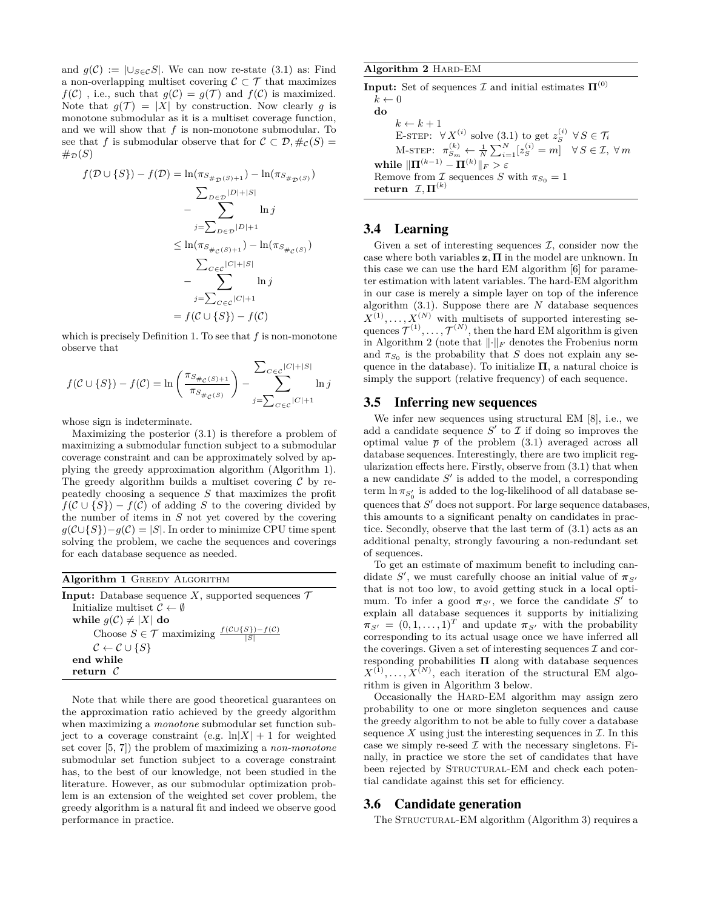and  $q(\mathcal{C}) := |\bigcup_{S \in \mathcal{C}} S|$ . We can now re-state [\(3.1\)](#page-2-0) as: Find a non-overlapping multiset covering  $\mathcal{C} \subset \mathcal{T}$  that maximizes  $f(\mathcal{C})$ , i.e., such that  $g(\mathcal{C}) = g(\mathcal{T})$  and  $f(\mathcal{C})$  is maximized. Note that  $g(\mathcal{T}) = |X|$  by construction. Now clearly g is monotone submodular as it is a multiset coverage function, and we will show that *f* is non-monotone submodular. To see that *f* is submodular observe that for  $C \subset \mathcal{D}, \#_c(S) =$  $\#_{\mathcal{D}}(S)$ 

$$
f(\mathcal{D} \cup \{S\}) - f(\mathcal{D}) = \ln(\pi_{S_{\#_{\mathcal{D}}(S)+1}}) - \ln(\pi_{S_{\#_{\mathcal{D}}(S)}})
$$

$$
\sum_{D \in \mathcal{D}} |D| + |S|
$$

$$
- \sum_{j=\sum_{D \in \mathcal{D}} |D|+1} \ln j
$$

$$
\leq \ln(\pi_{S_{\#_{\mathcal{C}}(S)+1}}) - \ln(\pi_{S_{\#_{\mathcal{C}}(S)}})
$$

$$
\sum_{C \in \mathcal{C}} |C| + |S|
$$

$$
- \sum_{j=\sum_{C \in \mathcal{C}} |C|+1}
$$

$$
= f(\mathcal{C} \cup \{S\}) - f(\mathcal{C})
$$

which is precisely [Definition 1.](#page-2-1) To see that *f* is non-monotone observe that

$$
f(C \cup \{S\}) - f(C) = \ln\left(\frac{\pi_{S_{\#_C(S)+1}}}{\pi_{S_{\#_C(S)}}}\right) - \sum_{j=\sum_{C \in \mathcal{C}}|C|+1}^{\sum_{|C|+|S|}} \ln j
$$

whose sign is indeterminate.

Maximizing the posterior [\(3.1\)](#page-2-0) is therefore a problem of maximizing a submodular function subject to a submodular coverage constraint and can be approximately solved by applying the greedy approximation algorithm [\(Algorithm 1\)](#page-3-0). The greedy algorithm builds a multiset covering  $\mathcal C$  by repeatedly choosing a sequence *S* that maximizes the profit  $f(\mathcal{C} \cup \{S\}) - f(\mathcal{C})$  of adding *S* to the covering divided by the number of items in *S* not yet covered by the covering  $g(\mathcal{C}\cup\{S\})-g(\mathcal{C})=|S|$ . In order to minimize CPU time spent solving the problem, we cache the sequences and coverings for each database sequence as needed.

<span id="page-3-0"></span>

| Algorithm 1 GREEDY ALGORITHM                                                                   |
|------------------------------------------------------------------------------------------------|
| <b>Input:</b> Database sequence X, supported sequences $\mathcal T$                            |
| Initialize multiset $\mathcal{C} \leftarrow \emptyset$                                         |
| while $g(\mathcal{C}) \neq  X $ do                                                             |
| Choose $S \in \mathcal{T}$ maximizing $\frac{f(\mathcal{C} \cup \{S\}) - f(\mathcal{C})}{ S }$ |
| $\mathcal{C} \leftarrow \mathcal{C} \cup \{S\}$                                                |
| end while                                                                                      |
| return $\mathcal C$                                                                            |

Note that while there are good theoretical guarantees on the approximation ratio achieved by the greedy algorithm when maximizing a *monotone* submodular set function subject to a coverage constraint (e.g.  $\ln|X| + 1$  for weighted set cover [\[5,](#page-9-20) [7\]](#page-9-21)) the problem of maximizing a *non-monotone* submodular set function subject to a coverage constraint has, to the best of our knowledge, not been studied in the literature. However, as our submodular optimization problem is an extension of the weighted set cover problem, the greedy algorithm is a natural fit and indeed we observe good performance in practice.

#### <span id="page-3-1"></span>**Algorithm 2** Hard-EM

**Input:** Set of sequences  $\mathcal I$  and initial estimates  $\Pi^{(0)}$  $k \leftarrow 0$ **do**  $k \leftarrow k + 1$ E-STEP:  $\forall X^{(i)}$  solve [\(3.1\)](#page-2-0) to get  $z_S^{(i)}$   $\forall S \in \mathcal{T}_i$  $M$ -STEP:  $\pi_{S_m}^{(k)} \leftarrow \frac{1}{N} \sum_{i=1}^{N} [z_S^{(i)} = m] \quad \forall S \in \mathcal{I}, \ \forall m$  $\textbf{while } \|\boldsymbol{\Pi}^{(k-1)} - \boldsymbol{\Pi}^{(k)}\|_F > \varepsilon$ Remove from *I* sequences *S* with  $\pi_{S_0} = 1$ **return**  $\mathcal{I}, \Pi^{(k)}$ 

# 3.4 Learning

Given a set of interesting sequences  $\mathcal{I}$ , consider now the case where both variables **z***,* **Π** in the model are unknown. In this case we can use the hard EM algorithm [\[6\]](#page-9-22) for parameter estimation with latent variables. The hard-EM algorithm in our case is merely a simple layer on top of the inference algorithm [\(3.1\)](#page-2-0). Suppose there are *N* database sequences  $X^{(1)}, \ldots, X^{(N)}$  with multisets of supported interesting sequences  $\mathcal{T}^{(1)}, \ldots, \mathcal{T}^{(N)}$ , then the hard EM algorithm is given in [Algorithm 2](#page-3-1) (note that  $\lVert \cdot \rVert_F$  denotes the Frobenius norm and  $\pi_{S_0}$  is the probability that *S* does not explain any sequence in the database). To initialize  $\Pi$ , a natural choice is simply the support (relative frequency) of each sequence.

## 3.5 Inferring new sequences

We infer new sequences using structural EM [\[8\]](#page-9-8), i.e., we add a candidate sequence  $S'$  to  $\mathcal I$  if doing so improves the optimal value  $\bar{p}$  of the problem [\(3.1\)](#page-2-0) averaged across all database sequences. Interestingly, there are two implicit regularization effects here. Firstly, observe from [\(3.1\)](#page-2-0) that when a new candidate  $S'$  is added to the model, a corresponding term $\ln\pi_{S_0^\prime}$  is added to the log-likelihood of all database sequences that S' does not support. For large sequence databases, this amounts to a significant penalty on candidates in practice. Secondly, observe that the last term of [\(3.1\)](#page-2-0) acts as an additional penalty, strongly favouring a non-redundant set of sequences.

To get an estimate of maximum benefit to including candidate  $S'$ , we must carefully choose an initial value of  $\pi_{S'}$ that is not too low, to avoid getting stuck in a local optimum. To infer a good  $\pi_{S'}$ , we force the candidate  $S'$  to explain all database sequences it supports by initializing  $\pi_{S'} = (0, 1, \ldots, 1)^T$  and update  $\pi_{S'}$  with the probability corresponding to its actual usage once we have inferred all the coverings. Given a set of interesting sequences  $\mathcal I$  and corresponding probabilities **Π** along with database sequences  $X^{(1)}, \ldots, X^{(N)}$ , each iteration of the structural EM algorithm is given in [Algorithm 3](#page-4-0) below.

Occasionally the HARD-EM algorithm may assign zero probability to one or more singleton sequences and cause the greedy algorithm to not be able to fully cover a database sequence  $X$  using just the interesting sequences in  $\mathcal I$ . In this case we simply re-seed  $\mathcal I$  with the necessary singletons. Finally, in practice we store the set of candidates that have been rejected by STRUCTURAL-EM and check each potential candidate against this set for efficiency.

### <span id="page-3-2"></span>3.6 Candidate generation

The STRUCTURAL-EM algorithm [\(Algorithm 3\)](#page-4-0) requires a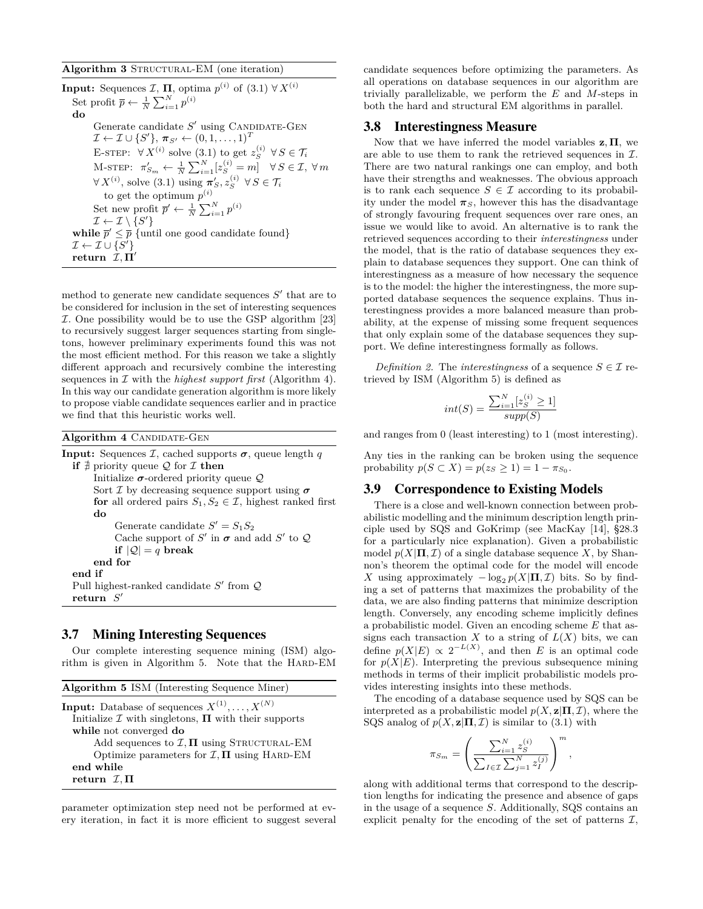<span id="page-4-0"></span>Algorithm 3 STRUCTURAL-EM (one iteration)

**Input:** Sequences  $\mathcal{I}$ , **Π**, optima  $p^{(i)}$  of  $(3.1) \forall X^{(i)}$  $(3.1) \forall X^{(i)}$ Set profit  $\overline{p} \leftarrow \frac{1}{N} \sum_{i=1}^{N} p^{(i)}$ **do** Generate candidate S' using CANDIDATE-GEN  $\mathcal{I} \leftarrow \mathcal{I} \cup \{S'\}, \, \bm{\pi}_{S'} \leftarrow (0, 1, \dots, 1)^T$ E-STEP:  $\forall X^{(i)}$  solve [\(3.1\)](#page-2-0) to get  $z_S^{(i)}$   $\forall S \in \mathcal{T}_i$  $M$ -STEP:  $\pi'_{S_m} \leftarrow \frac{1}{N} \sum_{i=1}^N [z_S^{(i)}] = m \quad \forall S \in \mathcal{I}, \ \forall m$  $\forall X^{(i)}$ , solve [\(3.1\)](#page-2-0) using  $\pi'_{S}, z_{S}^{(i)}$   $\forall S \in \mathcal{T}_{i}$ to get the optimum  $p^{(i)}$ Set new profit  $\bar{p}' \leftarrow \frac{1}{N} \sum_{i=1}^{N} p^{(i)}$  $\mathcal{I} \leftarrow \mathcal{I} \setminus \{S'\}$ **while**  $\overline{p}' \leq \overline{p}$  {until one good candidate found}  $\mathcal{I} \leftarrow \mathcal{I} \cup \{S^{\tilde{I}}\}$ return  $\mathcal{I}, \Pi'$ 

method to generate new candidate sequences  $S'$  that are to be considered for inclusion in the set of interesting sequences  $I$ . One possibility would be to use the GSP algorithm [\[23\]](#page-9-9) to recursively suggest larger sequences starting from singletons, however preliminary experiments found this was not the most efficient method. For this reason we take a slightly different approach and recursively combine the interesting sequences in  $\mathcal I$  with the *highest support first* [\(Algorithm 4\)](#page-4-1). In this way our candidate generation algorithm is more likely to propose viable candidate sequences earlier and in practice we find that this heuristic works well.

<span id="page-4-1"></span>**Algorithm 4 CANDIDATE-GEN** 

**Input:** Sequences *I*, cached supports  $\sigma$ , queue length *q* **if**  $\ddagger$  priority queue Q for  $\mathcal{I}$  **then** Initialize  $\sigma$ -ordered priority queue  $\mathcal{Q}$ Sort  $\mathcal I$  by decreasing sequence support using  $\sigma$ **for** all ordered pairs  $S_1, S_2 \in \mathcal{I}$ , highest ranked first **do** Generate candidate  $S' = S_1 S_2$ Cache support of  $S'$  in  $\sigma$  and add  $S'$  to  $\mathcal Q$ **if**  $|Q| = q$  **break end for end if** Pull highest-ranked candidate S' from Q  $return S'$ 

## 3.7 Mining Interesting Sequences

Our complete interesting sequence mining (ISM) algo-rithm is given in [Algorithm 5.](#page-4-2) Note that the HARD-EM

<span id="page-4-2"></span>

| <b>Algorithm 5 ISM</b> (Interesting Sequence Miner)                |  |
|--------------------------------------------------------------------|--|
| <b>Input:</b> Database of sequences $X^{(1)}, \ldots, X^{(N)}$     |  |
| Initialize $\mathcal I$ with singletons, $\Pi$ with their supports |  |
| while not converged do                                             |  |
| Add sequences to $\mathcal{I}, \Pi$ using STRUCTURAL-EM            |  |
| Optimize parameters for $\mathcal{I}, \Pi$ using HARD-EM           |  |
| end while                                                          |  |
| return $\mathcal{I}, \Pi$                                          |  |
|                                                                    |  |

parameter optimization step need not be performed at every iteration, in fact it is more efficient to suggest several candidate sequences before optimizing the parameters. As all operations on database sequences in our algorithm are trivially parallelizable, we perform the *E* and *M*-steps in both the hard and structural EM algorithms in parallel.

#### 3.8 Interestingness Measure

Now that we have inferred the model variables **z***,* **Π**, we are able to use them to rank the retrieved sequences in  $\mathcal{I}$ . There are two natural rankings one can employ, and both have their strengths and weaknesses. The obvious approach is to rank each sequence  $S \in \mathcal{I}$  according to its probability under the model  $\pi_S$ , however this has the disadvantage of strongly favouring frequent sequences over rare ones, an issue we would like to avoid. An alternative is to rank the retrieved sequences according to their *interestingness* under the model, that is the ratio of database sequences they explain to database sequences they support. One can think of interestingness as a measure of how necessary the sequence is to the model: the higher the interestingness, the more supported database sequences the sequence explains. Thus interestingness provides a more balanced measure than probability, at the expense of missing some frequent sequences that only explain some of the database sequences they support. We define interestingness formally as follows.

*Definition 2.* The *interestingness* of a sequence  $S \in \mathcal{I}$  retrieved by ISM [\(Algorithm 5\)](#page-4-2) is defined as

$$
int(S) = \frac{\sum_{i=1}^{N} [z_S^{(i)} \ge 1]}{supp(S)}
$$

and ranges from 0 (least interesting) to 1 (most interesting).

Any ties in the ranking can be broken using the sequence probability  $p(S \subset X) = p(z_S \ge 1) = 1 - \pi_{S_0}$ .

#### 3.9 Correspondence to Existing Models

There is a close and well-known connection between probabilistic modelling and the minimum description length principle used by SQS and GoKrimp (see MacKay [\[14\]](#page-9-23), §28.3 for a particularly nice explanation). Given a probabilistic model  $p(X|\Pi, \mathcal{I})$  of a single database sequence X, by Shannon's theorem the optimal code for the model will encode *X* using approximately  $-\log_2 p(X|\mathbf{\Pi}, \mathcal{I})$  bits. So by finding a set of patterns that maximizes the probability of the data, we are also finding patterns that minimize description length. Conversely, any encoding scheme implicitly defines a probabilistic model. Given an encoding scheme *E* that assigns each transaction  $X$  to a string of  $L(X)$  bits, we can define  $p(X|E) \propto 2^{-L(X)}$ , and then *E* is an optimal code for  $p(X|E)$ . Interpreting the previous subsequence mining methods in terms of their implicit probabilistic models provides interesting insights into these methods.

The encoding of a database sequence used by SQS can be interpreted as a probabilistic model  $p(X, \mathbf{z} | \mathbf{\Pi}, \mathcal{I})$ , where the SQS analog of  $p(X, z | \Pi, \mathcal{I})$  is similar to [\(3.1\)](#page-2-0) with

$$
\pi_{S_m} = \left(\frac{\sum_{i=1}^N z_S^{(i)}}{\sum_{I \in \mathcal{I}} \sum_{j=1}^N z_I^{(j)}}\right)^m,
$$

along with additional terms that correspond to the description lengths for indicating the presence and absence of gaps in the usage of a sequence *S*. Additionally, SQS contains an explicit penalty for the encoding of the set of patterns  $I$ ,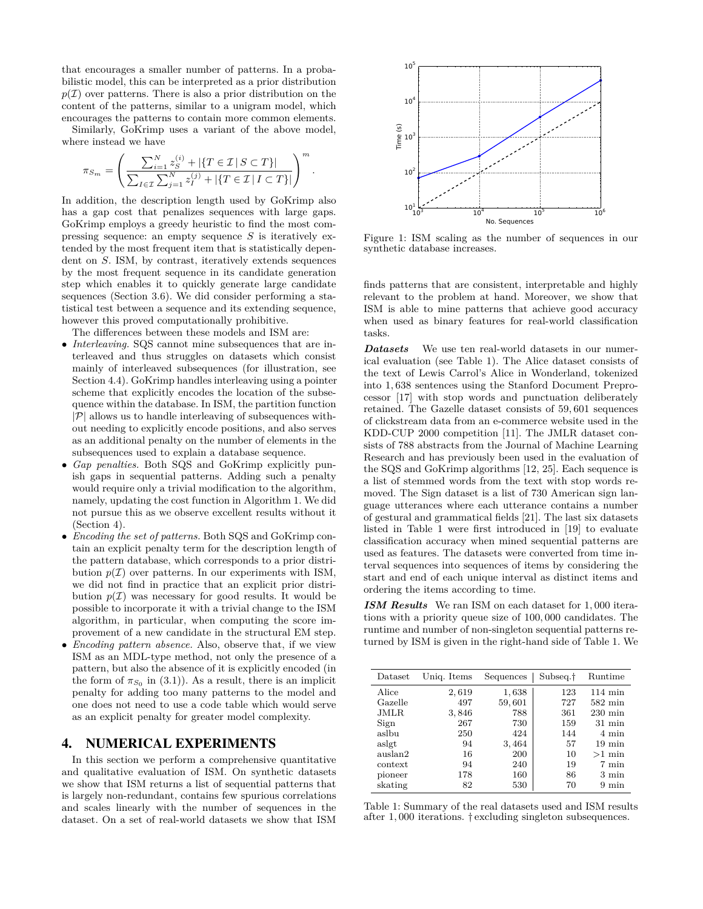that encourages a smaller number of patterns. In a probabilistic model, this can be interpreted as a prior distribution  $p(\mathcal{I})$  over patterns. There is also a prior distribution on the content of the patterns, similar to a unigram model, which encourages the patterns to contain more common elements.

Similarly, GoKrimp uses a variant of the above model, where instead we have

$$
\pi_{S_m}=\left(\frac{\sum_{i=1}^Nz_S^{(i)}+|\{T\in\mathcal{I}\,|\,S\subset T\}|}{\sum_{I\in\mathcal{I}}\sum_{j=1}^Nz_I^{(j)}+|\{T\in\mathcal{I}\,|\,I\subset T\}|}\right)^m.
$$

In addition, the description length used by GoKrimp also has a gap cost that penalizes sequences with large gaps. GoKrimp employs a greedy heuristic to find the most compressing sequence: an empty sequence *S* is iteratively extended by the most frequent item that is statistically dependent on *S*. ISM, by contrast, iteratively extends sequences by the most frequent sequence in its candidate generation step which enables it to quickly generate large candidate sequences [\(Section 3.6\)](#page-3-2). We did consider performing a statistical test between a sequence and its extending sequence, however this proved computationally prohibitive.

The differences between these models and ISM are:

- *Interleaving.* SQS cannot mine subsequences that are interleaved and thus struggles on datasets which consist mainly of interleaved subsequences (for illustration, see [Section 4.4\)](#page-7-1). GoKrimp handles interleaving using a pointer scheme that explicitly encodes the location of the subsequence within the database. In ISM, the partition function  $|\mathcal{P}|$  allows us to handle interleaving of subsequences without needing to explicitly encode positions, and also serves as an additional penalty on the number of elements in the subsequences used to explain a database sequence.
- *Gap penalties.* Both SQS and GoKrimp explicitly punish gaps in sequential patterns. Adding such a penalty would require only a trivial modification to the algorithm, namely, updating the cost function in [Algorithm 1.](#page-3-0) We did not pursue this as we observe excellent results without it [\(Section 4\)](#page-5-0).
- *Encoding the set of patterns.* Both SQS and GoKrimp contain an explicit penalty term for the description length of the pattern database, which corresponds to a prior distribution  $p(\mathcal{I})$  over patterns. In our experiments with ISM, we did not find in practice that an explicit prior distribution  $p(\mathcal{I})$  was necessary for good results. It would be possible to incorporate it with a trivial change to the ISM algorithm, in particular, when computing the score improvement of a new candidate in the structural EM step.
- *Encoding pattern absence.* Also, observe that, if we view ISM as an MDL-type method, not only the presence of a pattern, but also the absence of it is explicitly encoded (in the form of  $\pi_{S_0}$  in [\(3.1\)](#page-2-0)). As a result, there is an implicit penalty for adding too many patterns to the model and one does not need to use a code table which would serve as an explicit penalty for greater model complexity.

## <span id="page-5-0"></span>4. NUMERICAL EXPERIMENTS

In this section we perform a comprehensive quantitative and qualitative evaluation of ISM. On synthetic datasets we show that ISM returns a list of sequential patterns that is largely non-redundant, contains few spurious correlations and scales linearly with the number of sequences in the dataset. On a set of real-world datasets we show that ISM

<span id="page-5-2"></span>

Figure 1: ISM scaling as the number of sequences in our synthetic database increases.

finds patterns that are consistent, interpretable and highly relevant to the problem at hand. Moreover, we show that ISM is able to mine patterns that achieve good accuracy when used as binary features for real-world classification tasks.

*Datasets* We use ten real-world datasets in our numerical evaluation (see [Table 1\)](#page-5-1). The Alice dataset consists of the text of Lewis Carrol's Alice in Wonderland, tokenized into 1*,* 638 sentences using the Stanford Document Preprocessor [\[17\]](#page-9-24) with stop words and punctuation deliberately retained. The Gazelle dataset consists of 59*,* 601 sequences of clickstream data from an e-commerce website used in the KDD-CUP 2000 competition [\[11\]](#page-9-25). The JMLR dataset consists of 788 abstracts from the Journal of Machine Learning Research and has previously been used in the evaluation of the SQS and GoKrimp algorithms [\[12,](#page-9-6) [25\]](#page-9-7). Each sequence is a list of stemmed words from the text with stop words removed. The Sign dataset is a list of 730 American sign language utterances where each utterance contains a number of gestural and grammatical fields [\[21\]](#page-9-26). The last six datasets listed in [Table 1](#page-5-1) were first introduced in [\[19\]](#page-9-27) to evaluate classification accuracy when mined sequential patterns are used as features. The datasets were converted from time interval sequences into sequences of items by considering the start and end of each unique interval as distinct items and ordering the items according to time.

*ISM Results* We ran ISM on each dataset for 1*,* 000 iterations with a priority queue size of 100*,* 000 candidates. The runtime and number of non-singleton sequential patterns returned by ISM is given in the right-hand side of [Table 1.](#page-5-1) We

<span id="page-5-1"></span>

| Dataset | Uniq. Items | Sequences | Subseq. <sup>†</sup> | Runtime              |
|---------|-------------|-----------|----------------------|----------------------|
| Alice   | 2,619       | 1,638     | 123                  | $114 \text{ min}$    |
| Gazelle | 497         | 59,601    | 727                  | $582 \,\mathrm{min}$ |
| JMLR    | 3,846       | 788       | 361                  | $230 \,\mathrm{min}$ |
| Sign    | 267         | 730       | 159                  | $31 \text{ min}$     |
| aslbu   | 250         | 424       | 144                  | 4 min                |
| aslgt   | 94          | 3,464     | 57                   | $19 \text{ min}$     |
| auslan2 | 16          | 200       | 10                   | $>1$ min             |
| context | 94          | 240       | 19                   | 7 min                |
| pioneer | 178         | 160       | 86                   | $3 \text{ min}$      |
| skating | 82          | 530       | 70                   | $9 \text{ min}$      |

Table 1: Summary of the real datasets used and ISM results after 1*,* 000 iterations. † excluding singleton subsequences.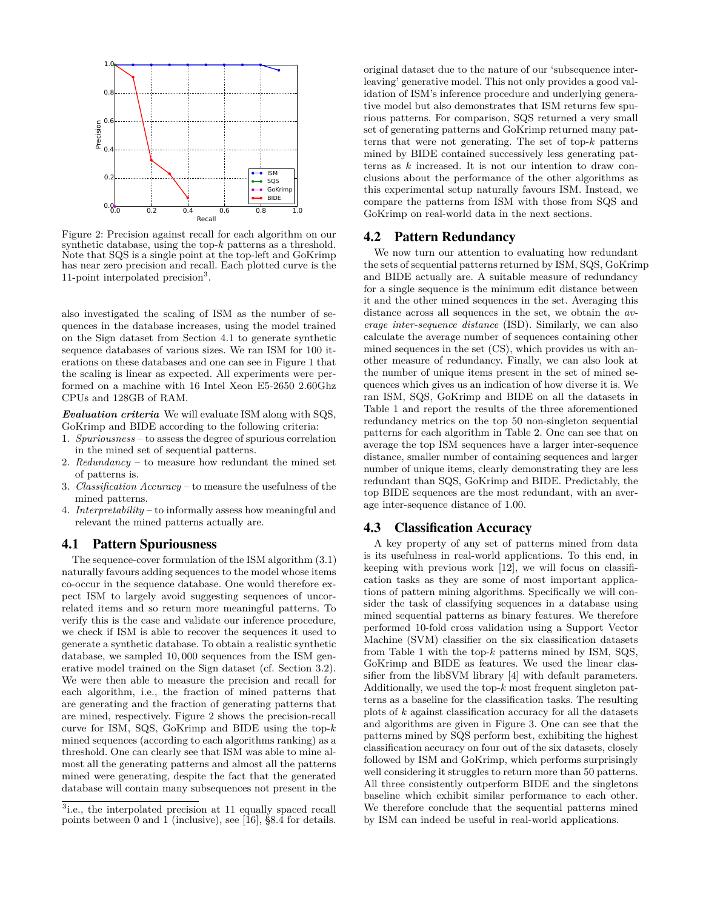<span id="page-6-2"></span>

Figure 2: Precision against recall for each algorithm on our synthetic database, using the top-*k* patterns as a threshold. Note that SQS is a single point at the top-left and GoKrimp has near zero precision and recall. Each plotted curve is the 11-point interpolated precision<sup>3</sup>.

also investigated the scaling of ISM as the number of sequences in the database increases, using the model trained on the Sign dataset from [Section 4.1](#page-6-1) to generate synthetic sequence databases of various sizes. We ran ISM for 100 iterations on these databases and one can see in [Figure 1](#page-5-2) that the scaling is linear as expected. All experiments were performed on a machine with 16 Intel Xeon E5-2650 2*.*60Ghz CPUs and 128GB of RAM.

*Evaluation criteria* We will evaluate ISM along with SQS, GoKrimp and BIDE according to the following criteria:

- 1. *Spuriousness* to assess the degree of spurious correlation in the mined set of sequential patterns.
- 2. *Redundancy* to measure how redundant the mined set of patterns is.
- 3. *Classification Accuracy* to measure the usefulness of the mined patterns.
- 4. *Interpretability* to informally assess how meaningful and relevant the mined patterns actually are.

## <span id="page-6-1"></span>4.1 Pattern Spuriousness

The sequence-cover formulation of the ISM algorithm [\(3.1\)](#page-2-0) naturally favours adding sequences to the model whose items co-occur in the sequence database. One would therefore expect ISM to largely avoid suggesting sequences of uncorrelated items and so return more meaningful patterns. To verify this is the case and validate our inference procedure, we check if ISM is able to recover the sequences it used to generate a synthetic database. To obtain a realistic synthetic database, we sampled 10*,* 000 sequences from the ISM generative model trained on the Sign dataset (cf. [Section 3.2\)](#page-2-2). We were then able to measure the precision and recall for each algorithm, i.e., the fraction of mined patterns that are generating and the fraction of generating patterns that are mined, respectively. [Figure 2](#page-6-2) shows the precision-recall curve for ISM, SQS, GoKrimp and BIDE using the top-*k* mined sequences (according to each algorithms ranking) as a threshold. One can clearly see that ISM was able to mine almost all the generating patterns and almost all the patterns mined were generating, despite the fact that the generated database will contain many subsequences not present in the original dataset due to the nature of our 'subsequence interleaving' generative model. This not only provides a good validation of ISM's inference procedure and underlying generative model but also demonstrates that ISM returns few spurious patterns. For comparison, SQS returned a very small set of generating patterns and GoKrimp returned many patterns that were not generating. The set of top-*k* patterns mined by BIDE contained successively less generating patterns as *k* increased. It is not our intention to draw conclusions about the performance of the other algorithms as this experimental setup naturally favours ISM. Instead, we compare the patterns from ISM with those from SQS and GoKrimp on real-world data in the next sections.

#### <span id="page-6-0"></span>4.2 Pattern Redundancy

We now turn our attention to evaluating how redundant the sets of sequential patterns returned by ISM, SQS, GoKrimp and BIDE actually are. A suitable measure of redundancy for a single sequence is the minimum edit distance between it and the other mined sequences in the set. Averaging this distance across all sequences in the set, we obtain the *average inter-sequence distance* (ISD). Similarly, we can also calculate the average number of sequences containing other mined sequences in the set (CS), which provides us with another measure of redundancy. Finally, we can also look at the number of unique items present in the set of mined sequences which gives us an indication of how diverse it is. We ran ISM, SQS, GoKrimp and BIDE on all the datasets in [Table 1](#page-5-1) and report the results of the three aforementioned redundancy metrics on the top 50 non-singleton sequential patterns for each algorithm in [Table 2.](#page-7-0) One can see that on average the top ISM sequences have a larger inter-sequence distance, smaller number of containing sequences and larger number of unique items, clearly demonstrating they are less redundant than SQS, GoKrimp and BIDE. Predictably, the top BIDE sequences are the most redundant, with an average inter-sequence distance of 1*.*00.

#### 4.3 Classification Accuracy

A key property of any set of patterns mined from data is its usefulness in real-world applications. To this end, in keeping with previous work [\[12\]](#page-9-6), we will focus on classification tasks as they are some of most important applications of pattern mining algorithms. Specifically we will consider the task of classifying sequences in a database using mined sequential patterns as binary features. We therefore performed 10-fold cross validation using a Support Vector Machine (SVM) classifier on the six classification datasets from [Table 1](#page-5-1) with the top-*k* patterns mined by ISM, SQS, GoKrimp and BIDE as features. We used the linear classifier from the libSVM library [\[4\]](#page-9-29) with default parameters. Additionally, we used the top-*k* most frequent singleton patterns as a baseline for the classification tasks. The resulting plots of *k* against classification accuracy for all the datasets and algorithms are given in [Figure 3.](#page-8-0) One can see that the patterns mined by SQS perform best, exhibiting the highest classification accuracy on four out of the six datasets, closely followed by ISM and GoKrimp, which performs surprisingly well considering it struggles to return more than 50 patterns. All three consistently outperform BIDE and the singletons baseline which exhibit similar performance to each other. We therefore conclude that the sequential patterns mined by ISM can indeed be useful in real-world applications.

<sup>&</sup>lt;sup>3</sup>i.e., the interpolated precision at 11 equally spaced recall points between 0 and 1 (inclusive), see [\[16\]](#page-9-28), §8.4 for details.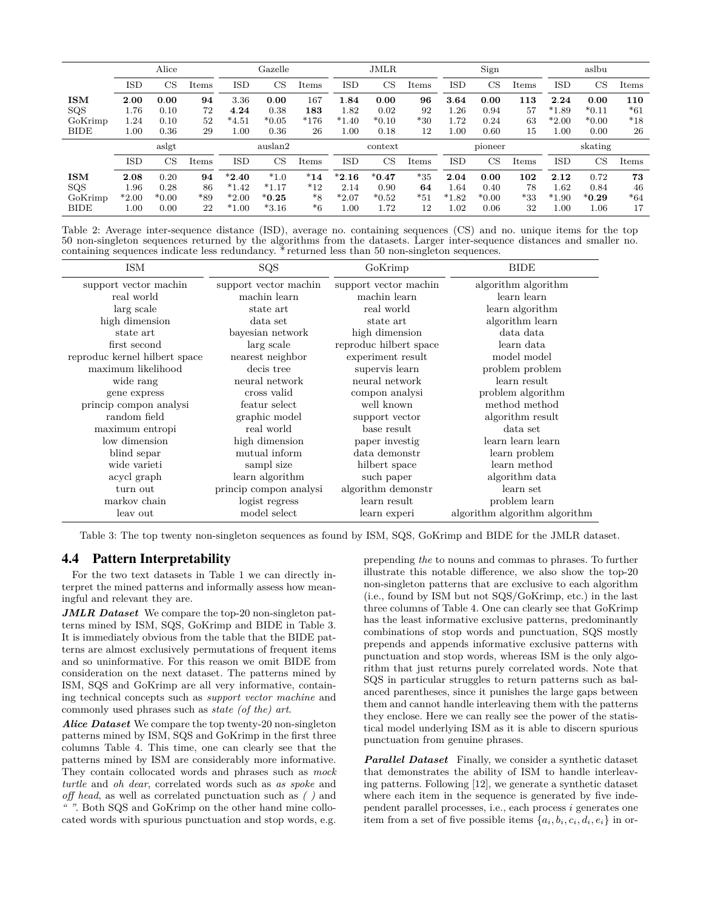<span id="page-7-0"></span>

|             |            | Alice   |                      |         | Gazelle     |                 |         | <b>JMLR</b> |                 |         | Sign    |       |            | aslbu   |       |
|-------------|------------|---------|----------------------|---------|-------------|-----------------|---------|-------------|-----------------|---------|---------|-------|------------|---------|-------|
|             | <b>ISD</b> | CS      | ${\rm I} {\rm tems}$ | ISD     | $_{\rm CS}$ | Items           | ISD     | CS          | Items           | ISD     | CS      | Items | <b>ISD</b> | CS      | Items |
| <b>ISM</b>  | 2.00       | 0.00    | 94                   | 3.36    | 0.00        | 167             | 1.84    | 0.00        | 96              | 3.64    | 0.00    | 113   | 2.24       | 0.00    | 110   |
| SQS         | 1.76       | 0.10    | 72                   | 4.24    | 0.38        | 183             | 1.82    | 0.02        | 92              | l.26    | 0.94    | 57    | $*1.89$    | $*0.11$ | $*61$ |
| GoKrimp     | 1.24       | 0.10    | 52                   | $*4.51$ | $*0.05$     | $*176$          | $*1.40$ | $*0.10$     | $*30$           | 1.72    | 0.24    | 63    | $*2.00$    | $*0.00$ | $*18$ |
| <b>BIDE</b> | 1.00       | 0.36    | 29                   | 1.00    | 0.36        | 26              | 1.00    | 0.18        | 12              | 1.00    | 0.60    | 15    | 1.00       | 0.00    | 26    |
|             |            | aslgt   |                      |         | auslan2     |                 |         | context     |                 |         | pioneer |       |            | skating |       |
|             | <b>ISD</b> | CS      | ltems                | ISD     | CS          | $_{\rm{Items}}$ | ISD     | CS          | $_{\rm{Items}}$ | ISD     | CS      | Items | ISD        | CS      | Items |
| <b>ISM</b>  | 2.08       | 0.20    | 94                   | $*2.40$ | $*1.0$      | $*14$           | $*2.16$ | $*0.47$     | $*35$           | 2.04    | 0.00    | 102   | 2.12       | 0.72    | 73    |
| SQS         | 1.96       | 0.28    | 86                   | $*1.42$ | $*1.17$     | $*_{12}$        | 2.14    | 0.90        | 64              | 1.64    | 0.40    | 78    | 1.62       | 0.84    | 46    |
| GoKrimp     | $*2.00$    | $*0.00$ | $*89$                | $*2.00$ | $*0.25$     | $*_{8}$         | $*2.07$ | $*0.52$     | $*_{51}$        | $*1.82$ | $*0.00$ | $*33$ | $*1.90$    | $*0.29$ | $*64$ |
| <b>BIDE</b> | 1.00       | 0.00    | 22                   | $*1.00$ | $*3.16$     | $*6$            | 1.00    | 1.72        | 12              | 1.02    | 0.06    | 32    | 1.00       | 1.06    | 17    |

Table 2: Average inter-sequence distance (ISD), average no. containing sequences (CS) and no. unique items for the top 50 non-singleton sequences returned by the algorithms from the datasets. Larger inter-sequence distances and smaller no. containing sequences indicate less redundancy. \* returned less than 50 non-singleton sequences.

<span id="page-7-2"></span>

| <b>ISM</b>                    | SQS                    | GoKrimp                | <b>BIDE</b>                   |
|-------------------------------|------------------------|------------------------|-------------------------------|
| support vector machin         | support vector machin  | support vector machin  | algorithm algorithm           |
| real world                    | machin learn           | machin learn           | learn learn                   |
| larg scale                    | state art              | real world             | learn algorithm               |
| high dimension                | data set               | state art              | algorithm learn               |
| state art                     | bayesian network       | high dimension         | data data                     |
| first second                  | larg scale             | reproduc hilbert space | learn data                    |
| reproduc kernel hilbert space | nearest neighbor       | experiment result      | model model                   |
| maximum likelihood            | decis tree             | supervis learn         | problem problem               |
| wide rang                     | neural network         | neural network         | learn result                  |
| gene express                  | cross valid            | compon analysi         | problem algorithm             |
| princip compon analysi        | featur select          | well known             | method method                 |
| random field                  | graphic model          | support vector         | algorithm result              |
| maximum entropi               | real world             | base result            | data set                      |
| low dimension                 | high dimension         | paper investig         | learn learn learn             |
| blind separ                   | mutual inform          | data demonstr          | learn problem                 |
| wide varieti                  | sampl size             | hilbert space          | learn method                  |
| acycl graph                   | learn algorithm        | such paper             | algorithm data                |
| turn out                      | princip compon analysi | algorithm demonstr     | learn set                     |
| markov chain                  | logist regress         | learn result           | problem learn                 |
| leav out                      | model select           | learn experi           | algorithm algorithm algorithm |

Table 3: The top twenty non-singleton sequences as found by ISM, SQS, GoKrimp and BIDE for the JMLR dataset.

# <span id="page-7-1"></span>4.4 Pattern Interpretability

For the two text datasets in [Table 1](#page-5-1) we can directly interpret the mined patterns and informally assess how meaningful and relevant they are.

*JMLR Dataset* We compare the top-20 non-singleton patterns mined by ISM, SQS, GoKrimp and BIDE in [Table 3.](#page-7-2) It is immediately obvious from the table that the BIDE patterns are almost exclusively permutations of frequent items and so uninformative. For this reason we omit BIDE from consideration on the next dataset. The patterns mined by ISM, SQS and GoKrimp are all very informative, containing technical concepts such as *support vector machine* and commonly used phrases such as *state (of the) art*.

*Alice Dataset* We compare the top twenty-20 non-singleton patterns mined by ISM, SQS and GoKrimp in the first three columns [Table 4.](#page-8-1) This time, one can clearly see that the patterns mined by ISM are considerably more informative. They contain collocated words and phrases such as *mock turtle* and *oh dear*, correlated words such as *as spoke* and *off head*, as well as correlated punctuation such as *( )* and *" "*. Both SQS and GoKrimp on the other hand mine collocated words with spurious punctuation and stop words, e.g.

prepending *the* to nouns and commas to phrases. To further illustrate this notable difference, we also show the top-20 non-singleton patterns that are exclusive to each algorithm (i.e., found by ISM but not SQS/GoKrimp, etc.) in the last three columns of [Table 4.](#page-8-1) One can clearly see that GoKrimp has the least informative exclusive patterns, predominantly combinations of stop words and punctuation, SQS mostly prepends and appends informative exclusive patterns with punctuation and stop words, whereas ISM is the only algorithm that just returns purely correlated words. Note that SQS in particular struggles to return patterns such as balanced parentheses, since it punishes the large gaps between them and cannot handle interleaving them with the patterns they enclose. Here we can really see the power of the statistical model underlying ISM as it is able to discern spurious punctuation from genuine phrases.

*Parallel Dataset* Finally, we consider a synthetic dataset that demonstrates the ability of ISM to handle interleaving patterns. Following [\[12\]](#page-9-6), we generate a synthetic dataset where each item in the sequence is generated by five independent parallel processes, i.e., each process *i* generates one item from a set of five possible items  $\{a_i, b_i, c_i, d_i, e_i\}$  in or-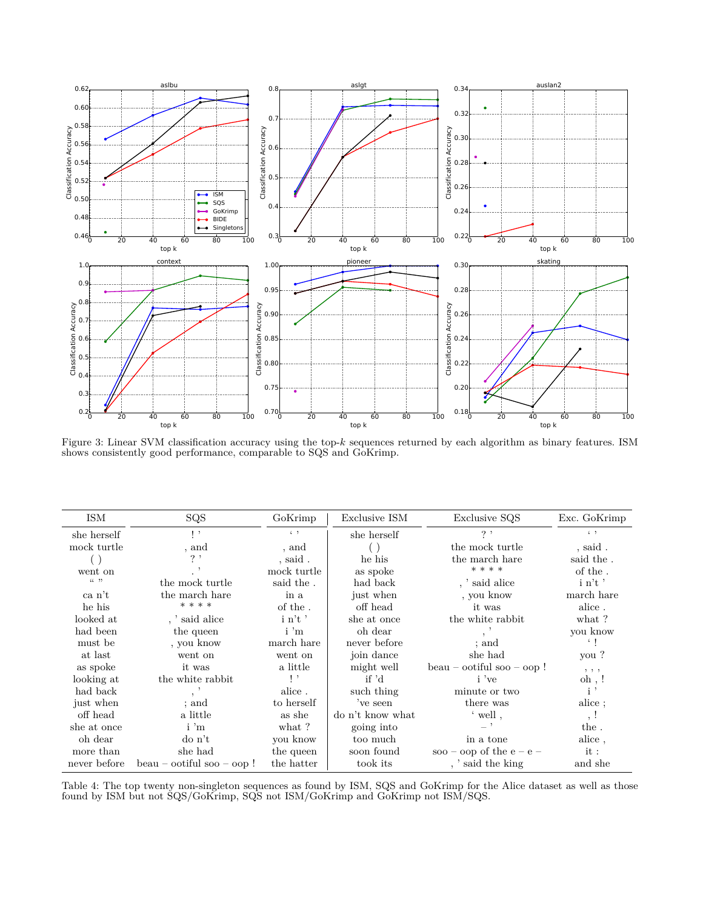<span id="page-8-0"></span>

Figure 3: Linear SVM classification accuracy using the top-*k* sequences returned by each algorithm as binary features. ISM shows consistently good performance, comparable to SQS and GoKrimp.

<span id="page-8-1"></span>

| ISM          | SQS                           | GoKrimp        | Exclusive ISM    | Exclusive SQS                 | Exc. GoKrimp                  |
|--------------|-------------------------------|----------------|------------------|-------------------------------|-------------------------------|
| she herself  | $\vert$ ,                     | $\left( \quad$ | she herself      | $\gamma$ ,                    | $\left( \quad ,\quad \right)$ |
| mock turtle  | , and                         | , and          |                  | the mock turtle               | , said.                       |
|              | $\gamma$ ,                    | said.          | he his           | the march hare                | said the.                     |
| went on      |                               | mock turtle    | as spoke         | * * * *                       | of the.                       |
| $(1 - 2)$    | the mock turtle               | said the.      | had back         | said alice                    | in't'                         |
| ca n't       | the march hare                | in a           | just when        | , you know                    | march hare                    |
| he his       | * * * *                       | of the.        | off head         | it was                        | alice.                        |
| looked at    | said alice                    | i n't '        | she at once      | the white rabbit              | what ?                        |
| had been     | the queen                     | $i \n m$       | oh dear          |                               | you know                      |
| must be      | , you know                    | march hare     | never before     | : and                         | $\left($ $\right)$            |
| at last      | went on                       | went on        | join dance       | she had                       | you?                          |
| as spoke     | it was                        | a little       | might well       | $beau - ootiful$ soo $-$ oop! | , , ,                         |
| looking at   | the white rabbit              | $\mathbf{I}$ , | if 'd            | <i>i</i> 've                  | oh, !                         |
| had back     |                               | alice.         | such thing       | minute or two                 | $\mathbf{i}$ ,                |
| just when    | ; and                         | to herself     | 've seen         | there was                     | alice;                        |
| off head     | a little                      | as she         | do n't know what | $\lq$ well,                   | , !                           |
| she at once  | $i \n m$                      | what?          | going into       | $-$ '                         | the.                          |
| oh dear      | do n't                        | you know       | too much         | in a tone                     | alice,                        |
| more than    | she had                       | the queen      | soon found       | soo – oop of the $e - e$      | it:                           |
| never before | $beau - ootiful$ soo $-$ oop! | the hatter     | took its         | , 'said the king              | and she                       |

Table 4: The top twenty non-singleton sequences as found by ISM, SQS and GoKrimp for the Alice dataset as well as those found by ISM but not SQS/GoKrimp, SQS not ISM/GoKrimp and GoKrimp not ISM/SQS.